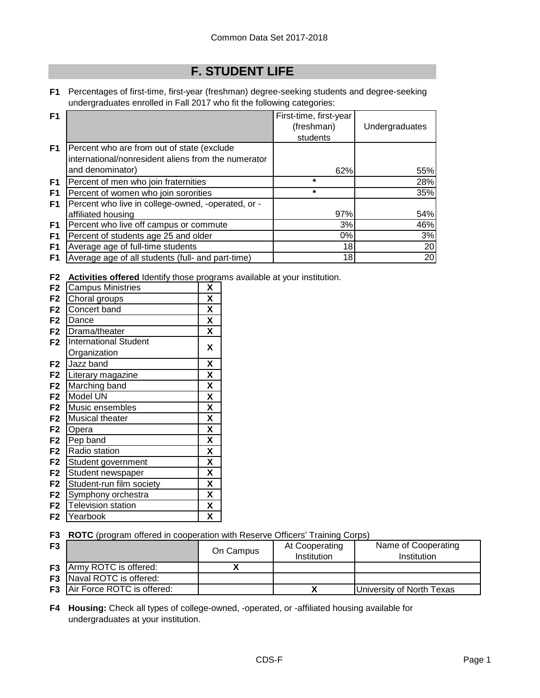## **F. STUDENT LIFE**

**F1** Percentages of first-time, first-year (freshman) degree-seeking students and degree-seeking undergraduates enrolled in Fall 2017 who fit the following categories:

| F <sub>1</sub> |                                                     | First-time, first-year |                |
|----------------|-----------------------------------------------------|------------------------|----------------|
|                |                                                     | (freshman)             | Undergraduates |
|                |                                                     | students               |                |
| F <sub>1</sub> | Percent who are from out of state (exclude          |                        |                |
|                | international/nonresident aliens from the numerator |                        |                |
|                | and denominator)                                    | 62%                    | 55%            |
| F <sub>1</sub> | Percent of men who join fraternities                | $\star$                | 28%            |
| F1             | Percent of women who join sororities                | $\star$                | 35%            |
| F <sub>1</sub> | Percent who live in college-owned, -operated, or -  |                        |                |
|                | affiliated housing                                  | 97%                    | 54%            |
| F1             | Percent who live off campus or commute              | 3%                     | 46%            |
| F <sub>1</sub> | Percent of students age 25 and older                | 0%                     | 3%             |
| F <sub>1</sub> | Average age of full-time students                   | 18                     | 20             |
| F1             | Average age of all students (full- and part-time)   | 18                     | 20             |

**F2 Activities offered** Identify those programs available at your institution.

| <b>Campus Ministries</b><br>X<br>F <sub>2</sub><br>X<br>Choral groups<br>F2<br>X<br>Concert band<br>F <sub>2</sub><br>X<br>F <sub>2</sub><br>Dance<br>X<br>F <sub>2</sub><br>Drama/theater<br><b>International Student</b><br>F <sub>2</sub><br>X<br>Organization<br>χ<br>Jazz band<br>F <sub>2</sub> |  |
|-------------------------------------------------------------------------------------------------------------------------------------------------------------------------------------------------------------------------------------------------------------------------------------------------------|--|
|                                                                                                                                                                                                                                                                                                       |  |
|                                                                                                                                                                                                                                                                                                       |  |
|                                                                                                                                                                                                                                                                                                       |  |
|                                                                                                                                                                                                                                                                                                       |  |
|                                                                                                                                                                                                                                                                                                       |  |
|                                                                                                                                                                                                                                                                                                       |  |
|                                                                                                                                                                                                                                                                                                       |  |
|                                                                                                                                                                                                                                                                                                       |  |
| X<br>F <sub>2</sub><br>Literary magazine                                                                                                                                                                                                                                                              |  |
| X<br>F <sub>2</sub><br>Marching band                                                                                                                                                                                                                                                                  |  |
| $\boldsymbol{\mathsf{X}}$<br>Model UN<br>F <sub>2</sub>                                                                                                                                                                                                                                               |  |
| X<br>F <sub>2</sub><br>Music ensembles                                                                                                                                                                                                                                                                |  |
| X<br>F <sub>2</sub><br>Musical theater                                                                                                                                                                                                                                                                |  |
| X<br>F <sub>2</sub><br>Opera                                                                                                                                                                                                                                                                          |  |
| X<br>Pep band<br>F <sub>2</sub>                                                                                                                                                                                                                                                                       |  |
| X<br>Radio station<br>F <sub>2</sub>                                                                                                                                                                                                                                                                  |  |
| X<br>F <sub>2</sub><br>Student government                                                                                                                                                                                                                                                             |  |
| X<br>Student newspaper<br>F <sub>2</sub>                                                                                                                                                                                                                                                              |  |
| X<br>Student-run film society<br>F <sub>2</sub>                                                                                                                                                                                                                                                       |  |
| X<br>F <sub>2</sub><br>Symphony orchestra                                                                                                                                                                                                                                                             |  |
| X<br><b>Television station</b><br>F <sub>2</sub>                                                                                                                                                                                                                                                      |  |
| χ<br>Yearbook<br>F2                                                                                                                                                                                                                                                                                   |  |

**F3 ROTC** (program offered in cooperation with Reserve Officers' Training Corps)

| F <sub>3</sub> |                                      | On Campus | At Cooperating<br><b>Institution</b> | Name of Cooperating<br>Institution |
|----------------|--------------------------------------|-----------|--------------------------------------|------------------------------------|
|                | <b>F3</b> Army ROTC is offered:      |           |                                      |                                    |
|                | <b>F3</b> Naval ROTC is offered:     |           |                                      |                                    |
|                | <b>F3</b> Air Force ROTC is offered: |           |                                      | University of North Texas          |

**F4 Housing:** Check all types of college-owned, -operated, or -affiliated housing available for undergraduates at your institution.